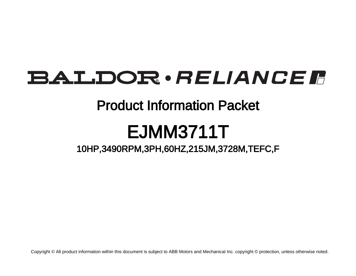## **BALDOR** · RELIANCE F

### Product Information Packet

# EJMM3711T

### 10HP,3490RPM,3PH,60HZ,215JM,3728M,TEFC,F

Copyright © All product information within this document is subject to ABB Motors and Mechanical Inc. copyright © protection, unless otherwise noted.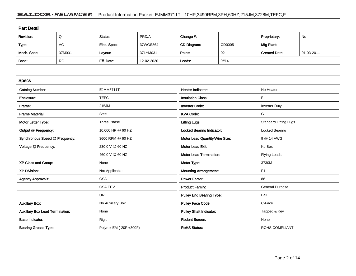#### BALDOR · RELIANCE F Product Information Packet: EJMM3711T - 10HP,3490RPM,3PH,60HZ,215JM,3728M,TEFC,F

| <b>Part Detail</b> |           |             |            |             |        |                      |            |  |
|--------------------|-----------|-------------|------------|-------------|--------|----------------------|------------|--|
| Revision:          | Q         | Status:     | PRD/A      | Change #:   |        | Proprietary:         | No         |  |
| Type:              | AC        | Elec. Spec: | 37WGS864   | CD Diagram: | CD0005 | Mfg Plant:           |            |  |
| Mech. Spec:        | 37M031    | Layout:     | 37LYM031   | Poles:      | 02     | <b>Created Date:</b> | 01-03-2011 |  |
| Base:              | <b>RG</b> | Eff. Date:  | 12-02-2020 | Leads:      | 9#14   |                      |            |  |

| <b>Specs</b>                           |                         |                                |                              |
|----------------------------------------|-------------------------|--------------------------------|------------------------------|
| <b>Catalog Number:</b>                 | <b>EJMM3711T</b>        | <b>Heater Indicator:</b>       | No Heater                    |
| Enclosure:                             | <b>TEFC</b>             | <b>Insulation Class:</b>       | F                            |
| Frame:                                 | 215JM                   | <b>Inverter Code:</b>          | <b>Inverter Duty</b>         |
| <b>Frame Material:</b>                 | Steel                   | <b>KVA Code:</b>               | G                            |
| Motor Letter Type:                     | Three Phase             | <b>Lifting Lugs:</b>           | <b>Standard Lifting Lugs</b> |
| Output @ Frequency:                    | 10.000 HP @ 60 HZ       | Locked Bearing Indicator:      | Locked Bearing               |
| Synchronous Speed @ Frequency:         | 3600 RPM @ 60 HZ        | Motor Lead Quantity/Wire Size: | 9 @ 14 AWG                   |
| Voltage @ Frequency:                   | 230.0 V @ 60 HZ         | <b>Motor Lead Exit:</b>        | Ko Box                       |
|                                        | 460.0 V @ 60 HZ         | <b>Motor Lead Termination:</b> | <b>Flying Leads</b>          |
| XP Class and Group:                    | None                    | Motor Type:                    | 3730M                        |
| <b>XP Division:</b>                    | Not Applicable          | <b>Mounting Arrangement:</b>   | F <sub>1</sub>               |
| <b>Agency Approvals:</b>               | <b>CSA</b>              | <b>Power Factor:</b>           | 88                           |
|                                        | <b>CSA EEV</b>          | <b>Product Family:</b>         | <b>General Purpose</b>       |
|                                        | UR                      | Pulley End Bearing Type:       | Ball                         |
| <b>Auxillary Box:</b>                  | No Auxillary Box        | <b>Pulley Face Code:</b>       | C-Face                       |
| <b>Auxillary Box Lead Termination:</b> | None                    | <b>Pulley Shaft Indicator:</b> | Tapped & Key                 |
| <b>Base Indicator:</b>                 | Rigid                   | <b>Rodent Screen:</b>          | None                         |
| <b>Bearing Grease Type:</b>            | Polyrex EM (-20F +300F) | <b>RoHS Status:</b>            | <b>ROHS COMPLIANT</b>        |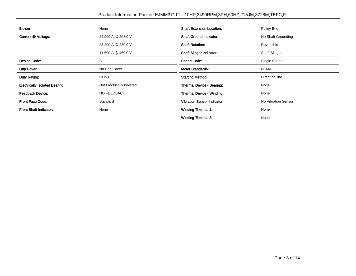| <b>Blower:</b>                        | None                      | <b>Shaft Extension Location:</b>   | <b>Pulley End</b>    |
|---------------------------------------|---------------------------|------------------------------------|----------------------|
| Current @ Voltage:                    | 24.900 A @ 208.0 V        | <b>Shaft Ground Indicator:</b>     | No Shaft Grounding   |
|                                       | 23.200 A @ 230.0 V        | <b>Shaft Rotation:</b>             | Reversible           |
|                                       | 11.600 A @ 460.0 V        | <b>Shaft Slinger Indicator:</b>    | <b>Shaft Slinger</b> |
| Design Code:                          | B                         | <b>Speed Code:</b>                 | Single Speed         |
| Drip Cover:                           | No Drip Cover             | <b>Motor Standards:</b>            | <b>NEMA</b>          |
| Duty Rating:                          | <b>CONT</b>               | <b>Starting Method:</b>            | Direct on line       |
| <b>Electrically Isolated Bearing:</b> | Not Electrically Isolated | Thermal Device - Bearing:          | None                 |
| <b>Feedback Device:</b>               | NO FEEDBACK               | Thermal Device - Winding:          | None                 |
| <b>Front Face Code:</b>               | Standard                  | <b>Vibration Sensor Indicator:</b> | No Vibration Sensor  |
| Front Shaft Indicator:                | None                      | <b>Winding Thermal 1:</b>          | None                 |
|                                       |                           | <b>Winding Thermal 2:</b>          | None                 |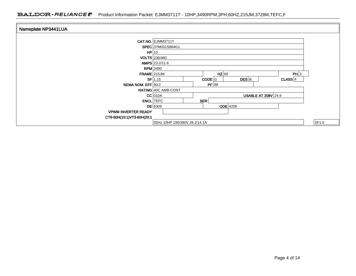| Nameplate NP3441LUA        |                                                            |       |
|----------------------------|------------------------------------------------------------|-------|
|                            | CAT.NO. EJMM3711T                                          |       |
|                            | SPEC 37M031S864G1                                          |       |
|                            | HP 10                                                      |       |
|                            | <b>VOLTS</b> 230/460                                       |       |
|                            | AMPS 23.2/11.6                                             |       |
|                            | <b>RPM</b> 3490                                            |       |
| $FRAME$ 215JM              | $HZ$ 60<br>PH 3                                            |       |
|                            | $CODE$ G<br>$DES$ <sub>B</sub><br>$SF$ 1.15<br>$CLASS$ $F$ |       |
| NEMA NOM. EFF 90.2         | PF 88                                                      |       |
|                            | RATING 40C AMB-CONT                                        |       |
|                            | $CC$ 010A<br><b>USABLE AT 208V 24.9</b>                    |       |
|                            | SER<br><b>ENCL</b> TEFC                                    |       |
|                            | <b>ODE</b> 6206<br>$DE$ 6309                               |       |
| <b>VPWM INVERTER READY</b> |                                                            |       |
| CT6-60H(10:1)VT3-60H(20:1  |                                                            |       |
|                            | 50Hz 10HP 190/380V 28.2/14.1A                              | SF1.0 |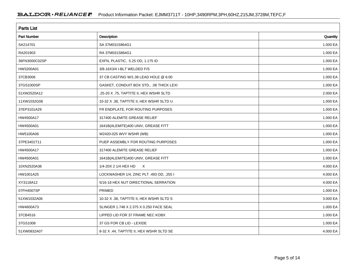| <b>Parts List</b>  |                                          |          |  |  |  |  |
|--------------------|------------------------------------------|----------|--|--|--|--|
| <b>Part Number</b> | Description                              | Quantity |  |  |  |  |
| SA214701           | SA 37M031S864G1                          | 1.000 EA |  |  |  |  |
| RA201903           | RA 37M031S864G1                          | 1.000 EA |  |  |  |  |
| 36FN3000C02SP      | EXFN, PLASTIC, 5.25 OD, 1.175 ID         | 1.000 EA |  |  |  |  |
| HW3200A01          | 3/8-16X3/4 I-BLT WELDED F/S              | 1.000 EA |  |  |  |  |
| 37CB3006           | 37 CB CASTING W/1.38 LEAD HOLE @ 6:00    | 1.000 EA |  |  |  |  |
| 37GS1000SP         | GASKET, CONDUIT BOX STD., .06 THICK LEXI | 1.000 EA |  |  |  |  |
| 51XW2520A12        | .25-20 X .75, TAPTITE II, HEX WSHR SLTD  | 2.000 EA |  |  |  |  |
| 11XW1032G06        | 10-32 X .38, TAPTITE II, HEX WSHR SLTD U | 1.000 EA |  |  |  |  |
| 37EP3101A29        | FR ENDPLATE, FOR ROUTING PURPOSES        | 1.000 EA |  |  |  |  |
| HW4500A17          | 317400 ALEMITE GREASE RELIEF             | 1.000 EA |  |  |  |  |
| HW4500A01          | 1641B(ALEMITE)400 UNIV, GREASE FITT      | 1.000 EA |  |  |  |  |
| HW5100A06          | W2420-025 WVY WSHR (WB)                  | 1.000 EA |  |  |  |  |
| 37PE3401T11        | PUEP ASSEMBLY FOR ROUTING PURPOSES       | 1.000 EA |  |  |  |  |
| HW4500A17          | 317400 ALEMITE GREASE RELIEF             | 1.000 EA |  |  |  |  |
| HW4500A01          | 1641B(ALEMITE)400 UNIV, GREASE FITT      | 1.000 EA |  |  |  |  |
| 10XN2520A36        | 1/4-20X 2 1/4 HEX HD<br>$\mathsf{X}$     | 4.000 EA |  |  |  |  |
| HW1001A25          | LOCKWASHER 1/4, ZINC PLT .493 OD, .255 I | 4.000 EA |  |  |  |  |
| XY3118A12          | 5/16-18 HEX NUT DIRECTIONAL SERRATION    | 4.000 EA |  |  |  |  |
| 07FH4007SP         | <b>PRIMED</b>                            | 1.000 EA |  |  |  |  |
| 51XW1032A06        | 10-32 X .38, TAPTITE II, HEX WSHR SLTD S | 3.000 EA |  |  |  |  |
| HW4600A73          | SLINGER 1.748 X 2.375 X 0.250 FACE SEAL  | 1.000 EA |  |  |  |  |
| 37CB4516           | LIPPED LID FOR 37 FRAME NEC KOBX         | 1.000 EA |  |  |  |  |
| 37GS1008           | 37 GS FOR CB LID - LEXIDE                | 1.000 EA |  |  |  |  |
| 51XW0832A07        | 8-32 X .44, TAPTITE II, HEX WSHR SLTD SE | 4.000 EA |  |  |  |  |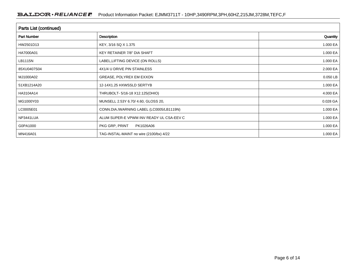| <b>Parts List (continued)</b> |                                          |          |  |  |  |  |
|-------------------------------|------------------------------------------|----------|--|--|--|--|
| <b>Part Number</b>            | <b>Description</b>                       | Quantity |  |  |  |  |
| HW2501D13                     | KEY, 3/16 SQ X 1.375                     | 1.000 EA |  |  |  |  |
| HA7000A01                     | KEY RETAINER 7/8" DIA SHAFT              | 1.000 EA |  |  |  |  |
| LB1115N                       | LABEL, LIFTING DEVICE (ON ROLLS)         | 1.000 EA |  |  |  |  |
| 85XU0407S04                   | 4X1/4 U DRIVE PIN STAINLESS              | 2.000 EA |  |  |  |  |
| MJ1000A02                     | GREASE, POLYREX EM EXXON                 | 0.050 LB |  |  |  |  |
| 51XB1214A20                   | 12-14X1.25 HXWSSLD SERTYB                | 1.000 EA |  |  |  |  |
| HA3104A14                     | THRUBOLT- 5/16-18 X12.125(OHIO)          | 4.000 EA |  |  |  |  |
| MG1000Y03                     | MUNSELL 2.53Y 6.70/ 4.60, GLOSS 20,      | 0.028 GA |  |  |  |  |
| LC0005E01                     | CONN.DIA./WARNING LABEL (LC0005/LB1119N) | 1.000 EA |  |  |  |  |
| NP3441LUA                     | ALUM SUPER-E VPWM INV READY UL CSA-EEV C | 1.000 EA |  |  |  |  |
| G0PA1000                      | PKG GRP, PRINT<br>PK1026A06              | 1.000 EA |  |  |  |  |
| MN416A01                      | TAG-INSTAL-MAINT no wire (2100/bx) 4/22  | 1.000 EA |  |  |  |  |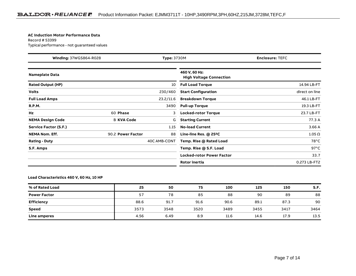#### **AC Induction Motor Performance Data**

Record # 53399Typical performance - not guaranteed values

| <b>Winding: 37WGS864-R028</b><br><b>Type: 3730M</b> |                   | <b>Enclosure: TEFC</b> |                                                 |                |
|-----------------------------------------------------|-------------------|------------------------|-------------------------------------------------|----------------|
| <b>Nameplate Data</b>                               |                   |                        | 460 V, 60 Hz:<br><b>High Voltage Connection</b> |                |
| <b>Rated Output (HP)</b>                            |                   | 10                     | <b>Full Load Torque</b>                         | 14.94 LB-FT    |
| <b>Volts</b>                                        |                   | 230/460                | <b>Start Configuration</b>                      | direct on line |
| <b>Full Load Amps</b>                               |                   | 23.2/11.6              | <b>Breakdown Torque</b>                         | 46.1 LB-FT     |
| <b>R.P.M.</b>                                       |                   | 3490                   | <b>Pull-up Torque</b>                           | 19.3 LB-FT     |
| Hz                                                  | 60 Phase          | 3                      | <b>Locked-rotor Torque</b>                      | 23.7 LB-FT     |
| <b>NEMA Design Code</b>                             | <b>B KVA Code</b> | G                      | <b>Starting Current</b>                         | 77.3 A         |
| Service Factor (S.F.)                               |                   | 1.15                   | <b>No-load Current</b>                          | 3.66A          |
| <b>NEMA Nom. Eff.</b>                               | 90.2 Power Factor | 88                     | Line-line Res. $@$ 25 $°C$                      | $1.05\,\Omega$ |
| <b>Rating - Duty</b>                                |                   | 40C AMB-CONT           | Temp. Rise @ Rated Load                         | $78^{\circ}$ C |
| S.F. Amps                                           |                   |                        | Temp. Rise @ S.F. Load                          | $97^{\circ}$ C |
|                                                     |                   |                        | <b>Locked-rotor Power Factor</b>                | 33.7           |
|                                                     |                   |                        | <b>Rotor inertia</b>                            | 0.273 LB-FT2   |

#### **Load Characteristics 460 V, 60 Hz, 10 HP**

| % of Rated Load     | 25   | 50   | 75   | 100  | 125  | 150  | S.F. |
|---------------------|------|------|------|------|------|------|------|
| <b>Power Factor</b> | 57   | 78   | 85   | 88   | 90   | 89   | 88   |
| <b>Efficiency</b>   | 88.6 | 91.7 | 91.6 | 90.6 | 89.1 | 87.3 | 90   |
| <b>Speed</b>        | 3573 | 3548 | 3520 | 3489 | 3455 | 3417 | 3464 |
| Line amperes        | 4.56 | 6.49 | 8.9  | 11.6 | 14.6 | 17.9 | 13.5 |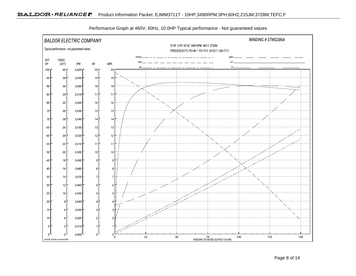

Performance Graph at 460V, 60Hz, 10.0HP Typical performance - Not guaranteed values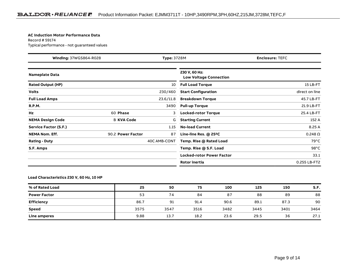#### **AC Induction Motor Performance Data**

Record # 59174Typical performance - not guaranteed values

| Winding: 37WGS864-R028<br>Type: 3728M |                   | <b>Enclosure: TEFC</b> |                                                |                 |
|---------------------------------------|-------------------|------------------------|------------------------------------------------|-----------------|
| <b>Nameplate Data</b>                 |                   |                        | 230 V, 60 Hz:<br><b>Low Voltage Connection</b> |                 |
| <b>Rated Output (HP)</b>              |                   | 10                     | <b>Full Load Torque</b>                        | 15 LB-FT        |
| <b>Volts</b>                          |                   | 230/460                | <b>Start Configuration</b>                     | direct on line  |
| <b>Full Load Amps</b>                 |                   | 23.6/11.8              | <b>Breakdown Torque</b>                        | 45.7 LB-FT      |
| <b>R.P.M.</b>                         |                   | 3490                   | <b>Pull-up Torque</b>                          | 21.9 LB-FT      |
| Hz                                    | 60 Phase          | 3                      | <b>Locked-rotor Torque</b>                     | 25.4 LB-FT      |
| <b>NEMA Design Code</b>               | <b>B KVA Code</b> | G                      | <b>Starting Current</b>                        | 152 A           |
| Service Factor (S.F.)                 |                   | 1.15                   | <b>No-load Current</b>                         | 8.25 A          |
| <b>NEMA Nom. Eff.</b>                 | 90.2 Power Factor | 87                     | Line-line Res. $@$ 25 <sup>o</sup> C           | $0.248\,\Omega$ |
| <b>Rating - Duty</b>                  |                   | 40C AMB-CONT           | Temp. Rise @ Rated Load                        | $79^{\circ}$ C  |
| S.F. Amps                             |                   |                        | Temp. Rise @ S.F. Load                         | $98^{\circ}$ C  |
|                                       |                   |                        | <b>Locked-rotor Power Factor</b>               | 33.1            |
|                                       |                   |                        | <b>Rotor inertia</b>                           | 0.255 LB-FT2    |

#### **Load Characteristics 230 V, 60 Hz, 10 HP**

| % of Rated Load     | 25   | 50   | 75   | 100  | 125  | 150  | S.F. |
|---------------------|------|------|------|------|------|------|------|
| <b>Power Factor</b> | 53   | 74   | 84   | 87   | 88   | 89   | 88   |
| <b>Efficiency</b>   | 86.7 | 91   | 91.4 | 90.6 | 89.1 | 87.3 | 90   |
| <b>Speed</b>        | 3575 | 3547 | 3516 | 3482 | 3445 | 3401 | 3464 |
| Line amperes        | 9.88 | 13.7 | 18.2 | 23.6 | 29.5 | 36   | 27.1 |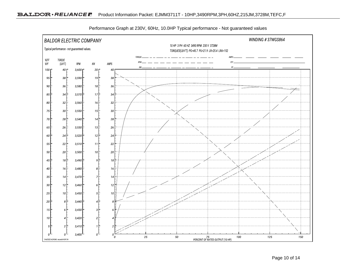

Performance Graph at 230V, 60Hz, 10.0HP Typical performance - Not guaranteed values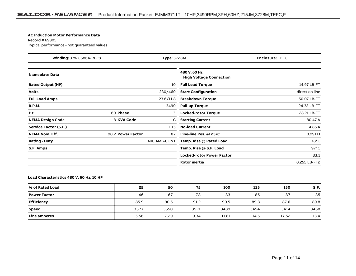#### **AC Induction Motor Performance Data**

Record # 69805Typical performance - not guaranteed values

| <b>Winding: 37WGS864-R028</b><br><b>Type: 3728M</b> |                   | <b>Enclosure: TEFC</b> |                                                 |                 |
|-----------------------------------------------------|-------------------|------------------------|-------------------------------------------------|-----------------|
| <b>Nameplate Data</b>                               |                   |                        | 480 V, 60 Hz:<br><b>High Voltage Connection</b> |                 |
| <b>Rated Output (HP)</b>                            |                   | 10                     | <b>Full Load Torque</b>                         | 14.97 LB-FT     |
| <b>Volts</b>                                        |                   | 230/460                | <b>Start Configuration</b>                      | direct on line  |
| <b>Full Load Amps</b>                               |                   | 23.6/11.8              | <b>Breakdown Torque</b>                         | 50.07 LB-FT     |
| <b>R.P.M.</b>                                       |                   | 3490                   | <b>Pull-up Torque</b>                           | 24.32 LB-FT     |
| Hz                                                  | 60 Phase          | 3                      | <b>Locked-rotor Torque</b>                      | 28.21 LB-FT     |
| <b>NEMA Design Code</b>                             | <b>B KVA Code</b> | G                      | <b>Starting Current</b>                         | 80.47 A         |
| Service Factor (S.F.)                               |                   | 1.15                   | <b>No-load Current</b>                          | 4.85 A          |
| <b>NEMA Nom. Eff.</b>                               | 90.2 Power Factor | 87                     | Line-line Res. $@$ 25 <sup>o</sup> C            | $0.991\,\Omega$ |
| <b>Rating - Duty</b>                                |                   | 40C AMB-CONT           | Temp. Rise @ Rated Load                         | $78^{\circ}$ C  |
| S.F. Amps                                           |                   |                        | Temp. Rise @ S.F. Load                          | $97^{\circ}$ C  |
|                                                     |                   |                        | <b>Locked-rotor Power Factor</b>                | 33.1            |
|                                                     |                   |                        | <b>Rotor inertia</b>                            | 0.255 LB-FT2    |

**Load Characteristics 480 V, 60 Hz, 10 HP**

| % of Rated Load     | 25   | 50   | 75   | 100   | 125  | 150   | S.F. |
|---------------------|------|------|------|-------|------|-------|------|
| <b>Power Factor</b> | 46   | 67   | 78   | 83    | 86   | 87    | 85   |
| <b>Efficiency</b>   | 85.9 | 90.5 | 91.2 | 90.5  | 89.3 | 87.6  | 89.8 |
| <b>Speed</b>        | 3577 | 3550 | 3521 | 3489  | 3454 | 3414  | 3468 |
| Line amperes        | 5.56 | 7.29 | 9.34 | 11.81 | 14.5 | 17.52 | 13.4 |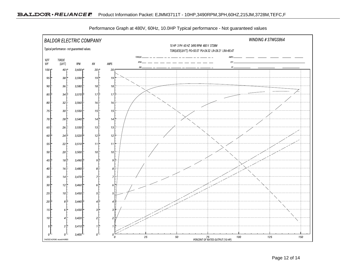

Performance Graph at 480V, 60Hz, 10.0HP Typical performance - Not guaranteed values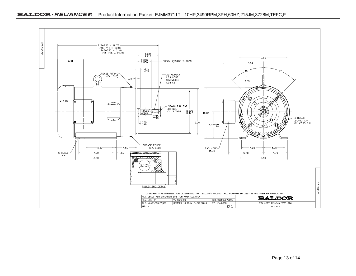